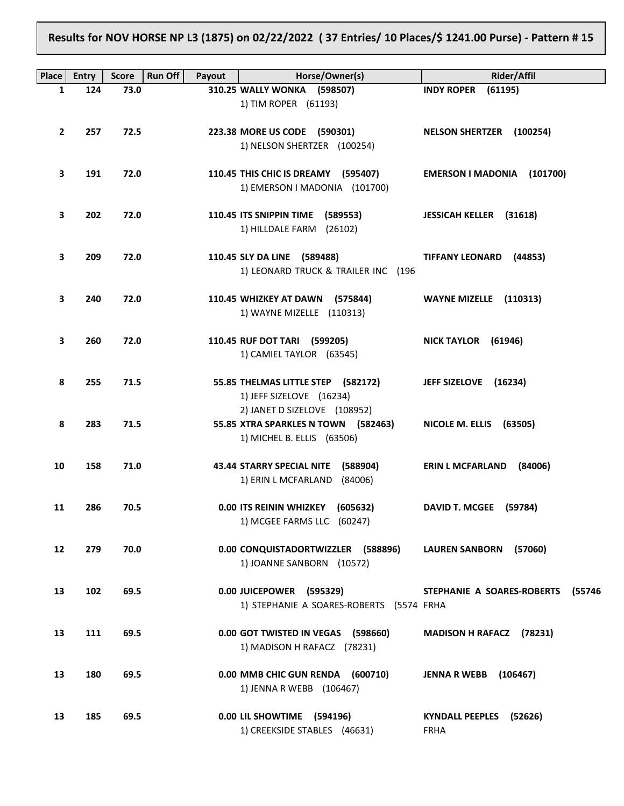**Results for NOV HORSE NP L3 (1875) on 02/22/2022 ( 37 Entries/ 10 Places/\$ 1241.00 Purse) - Pattern # 15**

| <b>Place</b>      | <b>Entry</b> | <b>Score</b> | <b>Run Off</b><br>Payout | Horse/Owner(s)                                                       | <b>Rider/Affil</b>                   |
|-------------------|--------------|--------------|--------------------------|----------------------------------------------------------------------|--------------------------------------|
| 1                 | 124          | 73.0         |                          | 310.25 WALLY WONKA (598507)                                          | <b>INDY ROPER</b><br>(61195)         |
|                   |              |              |                          | 1) TIM ROPER (61193)                                                 |                                      |
|                   |              |              |                          |                                                                      |                                      |
| $\mathbf{2}$      | 257          | 72.5         |                          | 223.38 MORE US CODE (590301)                                         | <b>NELSON SHERTZER (100254)</b>      |
|                   |              |              |                          | 1) NELSON SHERTZER (100254)                                          |                                      |
|                   |              |              |                          |                                                                      |                                      |
| З                 | 191          | 72.0         |                          | 110.45 THIS CHIC IS DREAMY (595407)                                  | EMERSON I MADONIA (101700)           |
|                   |              |              |                          | 1) EMERSON I MADONIA (101700)                                        |                                      |
|                   |              |              |                          |                                                                      |                                      |
| 3                 | 202          | 72.0         |                          | 110.45 ITS SNIPPIN TIME (589553)                                     | <b>JESSICAH KELLER (31618)</b>       |
|                   |              |              |                          | 1) HILLDALE FARM (26102)                                             |                                      |
| З                 | 209          | 72.0         |                          |                                                                      | (44853)                              |
|                   |              |              |                          | 110.45 SLY DA LINE (589488)<br>1) LEONARD TRUCK & TRAILER INC (196   | <b>TIFFANY LEONARD</b>               |
|                   |              |              |                          |                                                                      |                                      |
| 3                 | 240          | 72.0         |                          | 110.45 WHIZKEY AT DAWN (575844)                                      | WAYNE MIZELLE (110313)               |
|                   |              |              |                          | 1) WAYNE MIZELLE (110313)                                            |                                      |
|                   |              |              |                          |                                                                      |                                      |
| З                 | 260          | 72.0         |                          | 110.45 RUF DOT TARI (599205)                                         | NICK TAYLOR (61946)                  |
|                   |              |              |                          | 1) CAMIEL TAYLOR (63545)                                             |                                      |
|                   |              |              |                          |                                                                      |                                      |
| 8                 | 255          | 71.5         |                          | 55.85 THELMAS LITTLE STEP (582172)                                   | JEFF SIZELOVE (16234)                |
|                   |              |              |                          | 1) JEFF SIZELOVE (16234)                                             |                                      |
|                   |              |              |                          | 2) JANET D SIZELOVE (108952)                                         |                                      |
| 8                 | 283          | 71.5         |                          | 55.85 XTRA SPARKLES N TOWN (582463)                                  | NICOLE M. ELLIS (63505)              |
|                   |              |              |                          | 1) MICHEL B. ELLIS (63506)                                           |                                      |
|                   |              |              |                          |                                                                      |                                      |
| 10                | 158          | 71.0         |                          | 43.44 STARRY SPECIAL NITE (588904)<br>1) ERIN L MCFARLAND<br>(84006) | <b>ERIN L MCFARLAND</b><br>(84006)   |
|                   |              |              |                          |                                                                      |                                      |
| 11                | 286          | 70.5         |                          | 0.00 ITS REININ WHIZKEY (605632)                                     | DAVID T. MCGEE (59784)               |
|                   |              |              |                          | 1) MCGEE FARMS LLC (60247)                                           |                                      |
|                   |              |              |                          |                                                                      |                                      |
| $12 \overline{ }$ | 279          | 70.0         |                          | 0.00 CONQUISTADORTWIZZLER (588896)                                   | LAUREN SANBORN (57060)               |
|                   |              |              |                          | 1) JOANNE SANBORN (10572)                                            |                                      |
|                   |              |              |                          |                                                                      |                                      |
| 13                | 102          | 69.5         |                          | 0.00 JUICEPOWER (595329)                                             | STEPHANIE A SOARES-ROBERTS<br>(55746 |
|                   |              |              |                          | 1) STEPHANIE A SOARES-ROBERTS (5574 FRHA                             |                                      |
|                   |              |              |                          |                                                                      |                                      |
| 13                | 111          | 69.5         |                          | 0.00 GOT TWISTED IN VEGAS (598660)                                   | <b>MADISON H RAFACZ</b><br>(78231)   |
|                   |              |              |                          | 1) MADISON H RAFACZ (78231)                                          |                                      |
| 13                | 180          | 69.5         |                          | 0.00 MMB CHIC GUN RENDA (600710)                                     | <b>JENNA R WEBB</b><br>(106467)      |
|                   |              |              |                          | 1) JENNA R WEBB (106467)                                             |                                      |
|                   |              |              |                          |                                                                      |                                      |
| 13                | 185          | 69.5         |                          | 0.00 LIL SHOWTIME<br>(594196)                                        | KYNDALL PEEPLES (52626)              |
|                   |              |              |                          | 1) CREEKSIDE STABLES (46631)                                         | FRHA                                 |
|                   |              |              |                          |                                                                      |                                      |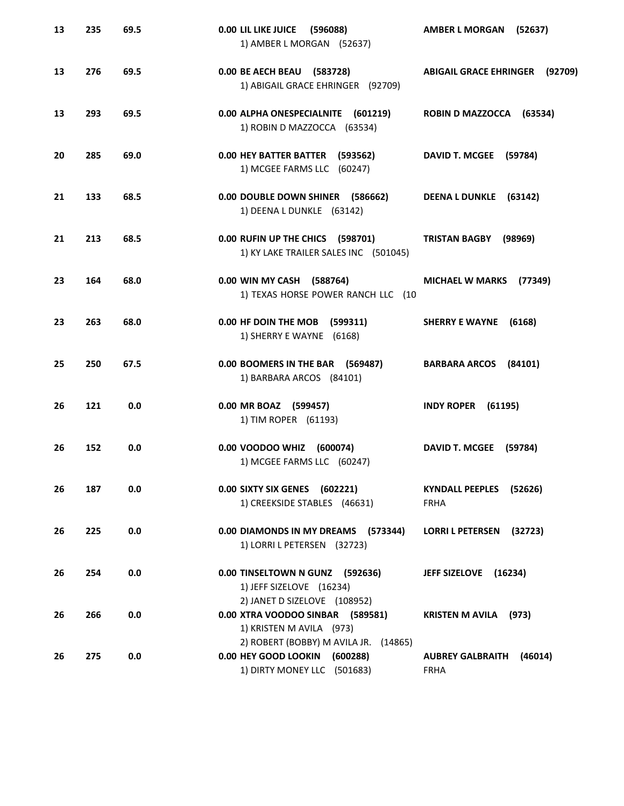| 13 | 235 | 69.5 | 0.00 LIL LIKE JUICE<br>(596088)<br>1) AMBER L MORGAN (52637)                                          | <b>AMBER L MORGAN</b><br>(52637)           |
|----|-----|------|-------------------------------------------------------------------------------------------------------|--------------------------------------------|
| 13 | 276 | 69.5 | 0.00 BE AECH BEAU (583728)<br>1) ABIGAIL GRACE EHRINGER (92709)                                       | <b>ABIGAIL GRACE EHRINGER</b><br>(92709)   |
| 13 | 293 | 69.5 | 0.00 ALPHA ONESPECIALNITE<br>(601219)<br>1) ROBIN D MAZZOCCA (63534)                                  | ROBIN D MAZZOCCA (63534)                   |
| 20 | 285 | 69.0 | 0.00 HEY BATTER BATTER (593562)<br>1) MCGEE FARMS LLC (60247)                                         | DAVID T. MCGEE (59784)                     |
| 21 | 133 | 68.5 | 0.00 DOUBLE DOWN SHINER (586662)<br>1) DEENA L DUNKLE (63142)                                         | DEENA L DUNKLE (63142)                     |
| 21 | 213 | 68.5 | 0.00 RUFIN UP THE CHICS (598701)<br>1) KY LAKE TRAILER SALES INC (501045)                             | <b>TRISTAN BAGBY</b><br>(98969)            |
| 23 | 164 | 68.0 | 0.00 WIN MY CASH (588764)<br>1) TEXAS HORSE POWER RANCH LLC (10                                       | <b>MICHAEL W MARKS</b><br>(77349)          |
| 23 | 263 | 68.0 | 0.00 HF DOIN THE MOB (599311)<br>1) SHERRY E WAYNE (6168)                                             | <b>SHERRY E WAYNE</b><br>(6168)            |
| 25 | 250 | 67.5 | 0.00 BOOMERS IN THE BAR (569487)<br>1) BARBARA ARCOS (84101)                                          | BARBARA ARCOS (84101)                      |
| 26 | 121 | 0.0  | 0.00 MR BOAZ (599457)<br>1) TIM ROPER (61193)                                                         | <b>INDY ROPER (61195)</b>                  |
| 26 | 152 | 0.0  | 0.00 VOODOO WHIZ (600074)<br>1) MCGEE FARMS LLC (60247)                                               | DAVID T. MCGEE (59784)                     |
| 26 | 187 | 0.0  | 0.00 SIXTY SIX GENES (602221)<br>1) CREEKSIDE STABLES (46631)                                         | KYNDALL PEEPLES (52626)<br><b>FRHA</b>     |
| 26 | 225 | 0.0  | 0.00 DIAMONDS IN MY DREAMS (573344)<br>1) LORRI L PETERSEN (32723)                                    | <b>LORRI L PETERSEN</b><br>(32723)         |
| 26 | 254 | 0.0  | 0.00 TINSELTOWN N GUNZ (592636)<br>1) JEFF SIZELOVE (16234)                                           | JEFF SIZELOVE (16234)                      |
| 26 | 266 | 0.0  | 2) JANET D SIZELOVE (108952)<br>0.00 XTRA VOODOO SINBAR (589581)<br>1) KRISTEN M AVILA (973)          | <b>KRISTEN M AVILA</b> (973)               |
| 26 | 275 | 0.0  | 2) ROBERT (BOBBY) M AVILA JR. (14865)<br>0.00 HEY GOOD LOOKIN (600288)<br>1) DIRTY MONEY LLC (501683) | <b>AUBREY GALBRAITH</b><br>(46014)<br>FRHA |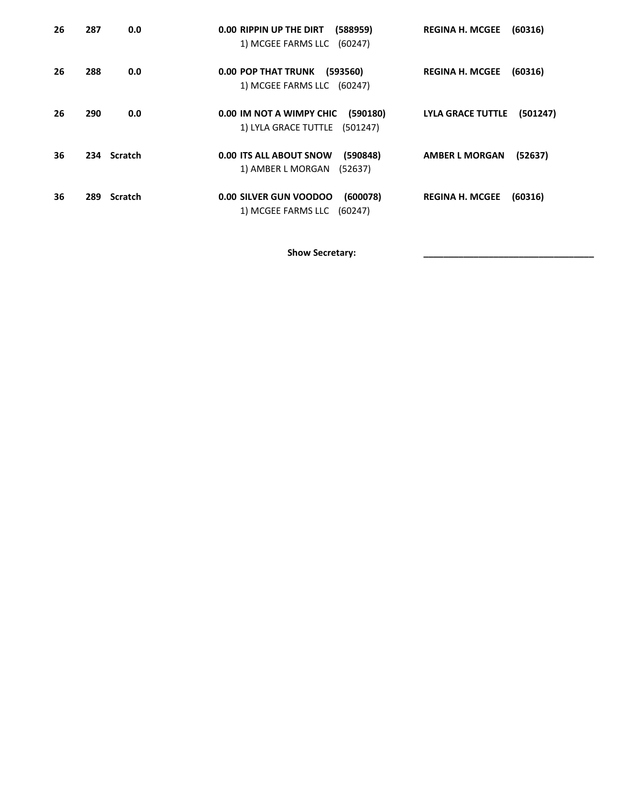| 26 | 287         | 0.0 | (588959)<br>0.00 RIPPIN UP THE DIRT<br>1) MCGEE FARMS LLC (60247)          | <b>REGINA H. MCGEE</b><br>(60316)    |
|----|-------------|-----|----------------------------------------------------------------------------|--------------------------------------|
| 26 | 288         | 0.0 | 0.00 POP THAT TRUNK (593560)<br>1) MCGEE FARMS LLC (60247)                 | <b>REGINA H. MCGEE</b><br>(60316)    |
| 26 | 290         | 0.0 | 0.00 IM NOT A WIMPY CHIC<br>(590180)<br>1) LYLA GRACE TUTTLE (501247)      | <b>LYLA GRACE TUTTLE</b><br>(501247) |
| 36 | 234 Scratch |     | <b>0.00 ITS ALL ABOUT SNOW</b><br>(590848)<br>1) AMBER L MORGAN<br>(52637) | <b>AMBER L MORGAN</b><br>(52637)     |
| 36 | 289 Scratch |     | 0.00 SILVER GUN VOODOO<br>(600078)<br>1) MCGEE FARMS LLC (60247)           | <b>REGINA H. MCGEE</b><br>(60316)    |

Show Secretary: